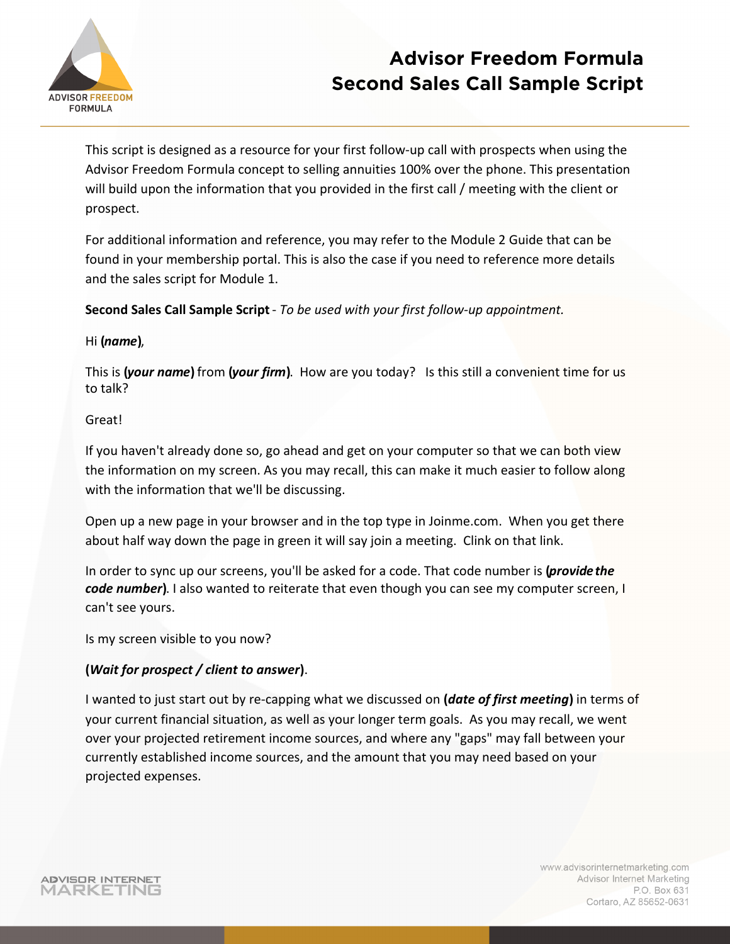

This script is designed as a resource for your first follow-up call with prospects when using the Advisor Freedom Formula concept to selling annuities 100% over the phone. This presentation will build upon the information that you provided in the first call / meeting with the client or prospect.

For additional information and reference, you may refer to the Module 2 Guide that can be found in your membership portal. This is also the case if you need to reference more details and the sales script for Module 1.

**Second Sales Call Sample Script** - *To be used with your first follow-up appointment.* 

### **Hi** (*name*),

This is (*your name*) from (*your firm*). How are you today? Is this still a convenient time for us to talk?

### Great!

If you haven't already done so, go ahead and get on your computer so that we can both view the information on my screen. As you may recall, this can make it much easier to follow along with the information that we'll be discussing.

Open up a new page in your browser and in the top type in Joinme.com. When you get there about half way down the page in green it will say join a meeting. Clink on that link.

In order to sync up our screens, you'll be asked for a code. That code number is (*provide the* code number). I also wanted to reiterate that even though you can see my computer screen, I can't see yours.

Is my screen visible to you now?

### **(***Wait for prospect / client to answer* **)**.

I wanted to just start out by re-capping what we discussed on **(***date of first meeting* **)** in terms of your current financial situation, as well as your longer term goals. As you may recall, we went over your projected retirement income sources, and where any "gaps" may fall between your currently established income sources, and the amount that you may need based on your projected expenses.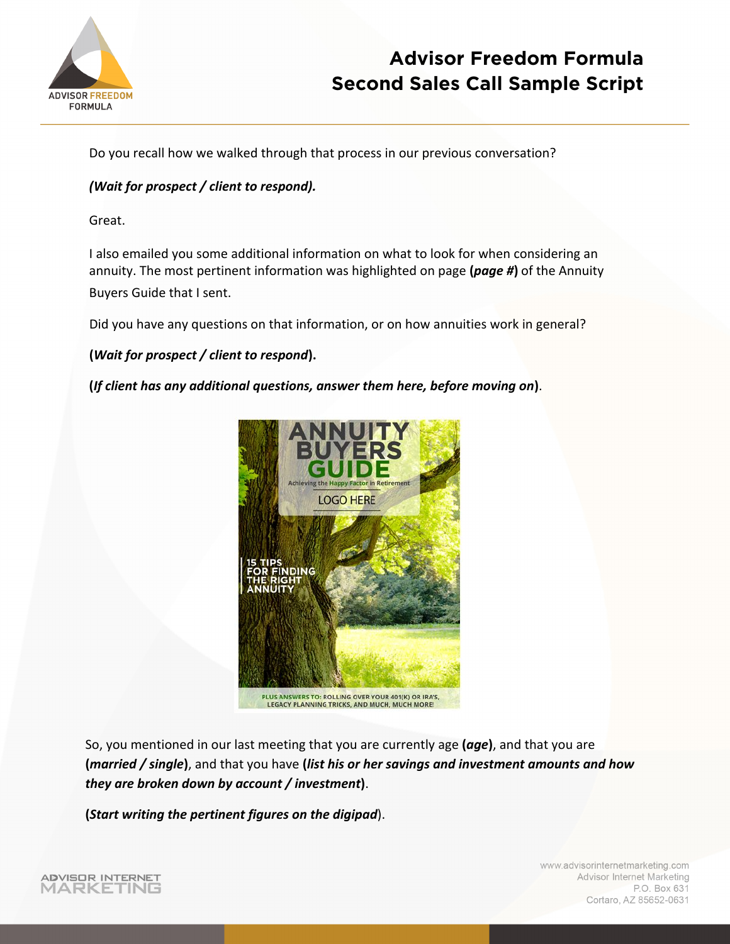

Do you recall how we walked through that process in our previous conversation?

### *(Wait for prospect / client to respond).*

Great.

I also emailed you some additional information on what to look for when considering an annuity. The most pertinent information was highlighted on page (page #) of the Annuity Buyers Guide that I sent.

Did you have any questions on that information, or on how annuities work in general?

**(***Wait for prospect / client to respond* **).** 

**(***If client has any additional questions, answer them here, before moving on* **)**.



PLUS ANSWERS TO: ROLLING OVER YOUR 401(K) OR IRA'S, LEGACY PLANNING TRICKS, AND MUCH, MUCH MORE

So, you mentioned in our last meeting that you are currently age **(***age***)**, and that you are **(***married / single***)**, and that you have **(***list his or her savings and investment amounts and how they are broken down by account / investment***)**.

**(***Start writing the pertinent figures on the digipad*).

www.advisorinternetmarketing.com Advisor Internet Marketing P.O. Box 631 Cortaro, AZ 85652-0631

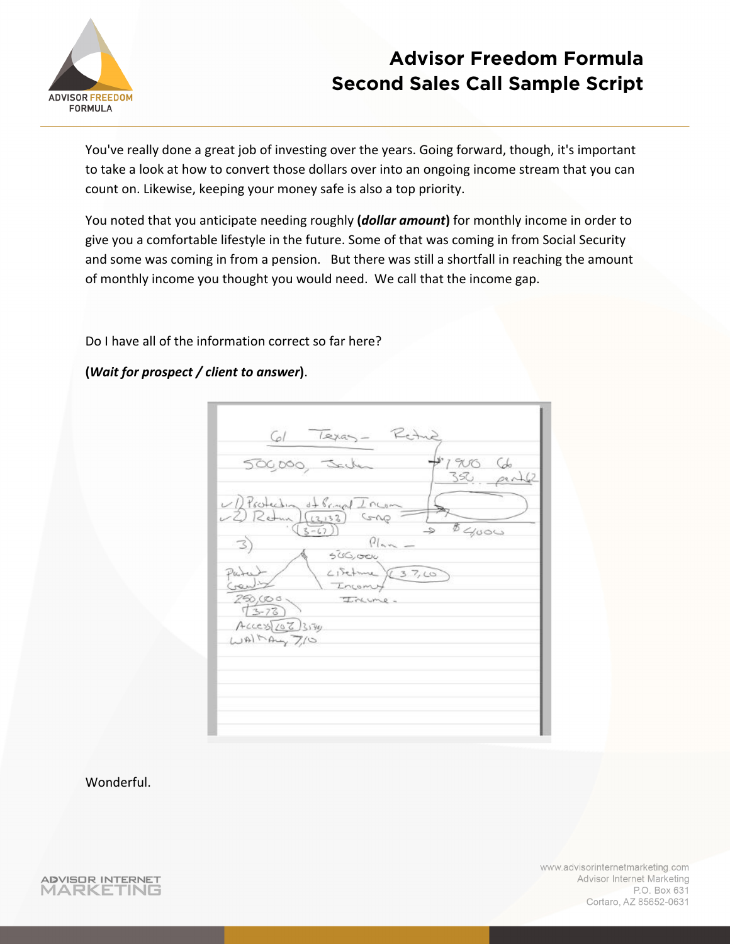

You've really done a great job of investing over the years. Going forward, though, it's important to take a look at how to convert those dollars over into an ongoing income stream that you can count on. Likewise, keeping your money safe is also a top priority.

You noted that you anticipate needing roughly **(***dollar amount***)** for monthly income in order to give you a comfortable lifestyle in the future. Some of that was coming in from Social Security and some was coming in from a pension. But there was still a shortfall in reaching the amount of monthly income you thought you would need. We call that the income gap.

Do I have all of the information correct so far here?

**(***Wait for prospect / client to answer***)**.

| Texas<br>Cal                                                                  | ué           |
|-------------------------------------------------------------------------------|--------------|
| SC                                                                            | 1900<br>350  |
| UD Protection of Primal Incom<br>-2 Retur (13132)<br>GAP                      |              |
| $3 - 67$<br>Plan<br>500,000                                                   | $b \sim 000$ |
| $C15$ eture $\times 3.7,00$<br>Parte<br>$C_{r}$<br>Incomy<br>250,000<br>Inume |              |
| $(3 - 78)$<br>Access[207]<br>WHMay7/0                                         |              |
|                                                                               |              |
|                                                                               |              |

Wonderful.

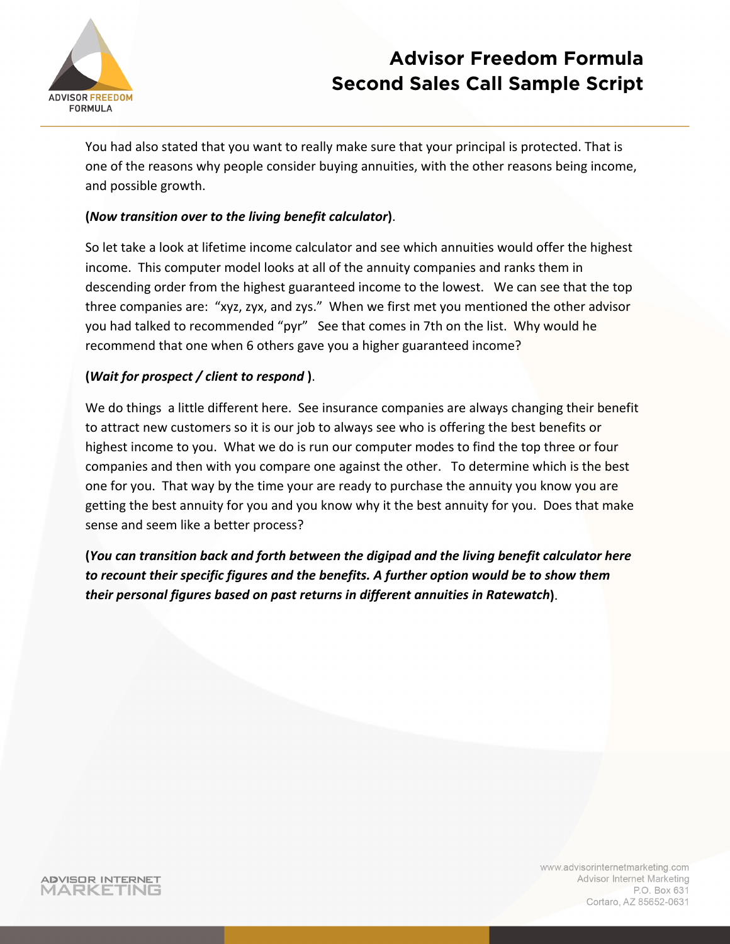

You had also stated that you want to really make sure that your principal is protected. That is one of the reasons why people consider buying annuities, with the other reasons being income, and possible growth.

### **(***Now transition over to the living benefit calculator***)**.

So let take a look at lifetime income calculator and see which annuities would offer the highest income. This computer model looks at all of the annuity companies and ranks them in descending order from the highest guaranteed income to the lowest. We can see that the top three companies are: "xyz, zyx, and zys." When we first met you mentioned the other advisor you had talked to recommended "pyr" See that comes in 7th on the list. Why would he recommend that one when 6 others gave you a higher guaranteed income?

### **(***Wait for prospect / client to respond* **)**.

We do things a little different here. See insurance companies are always changing their benefit to attract new customers so it is our job to always see who is offering the best benefits or highest income to you. What we do is run our computer modes to find the top three or four companies and then with you compare one against the other. To determine which is the best one for you. That way by the time your are ready to purchase the annuity you know you are getting the best annuity for you and you know why it the best annuity for you. Does that make sense and seem like a better process?

**(***You can transition back and forth between the digipad and the living benefit calculator here to recount their specific figures and the benefits. A further option would be to show them their personal figures based on past returns in different annuities in Ratewatch***)**.

**ADVISOR INTERNET** MARKETING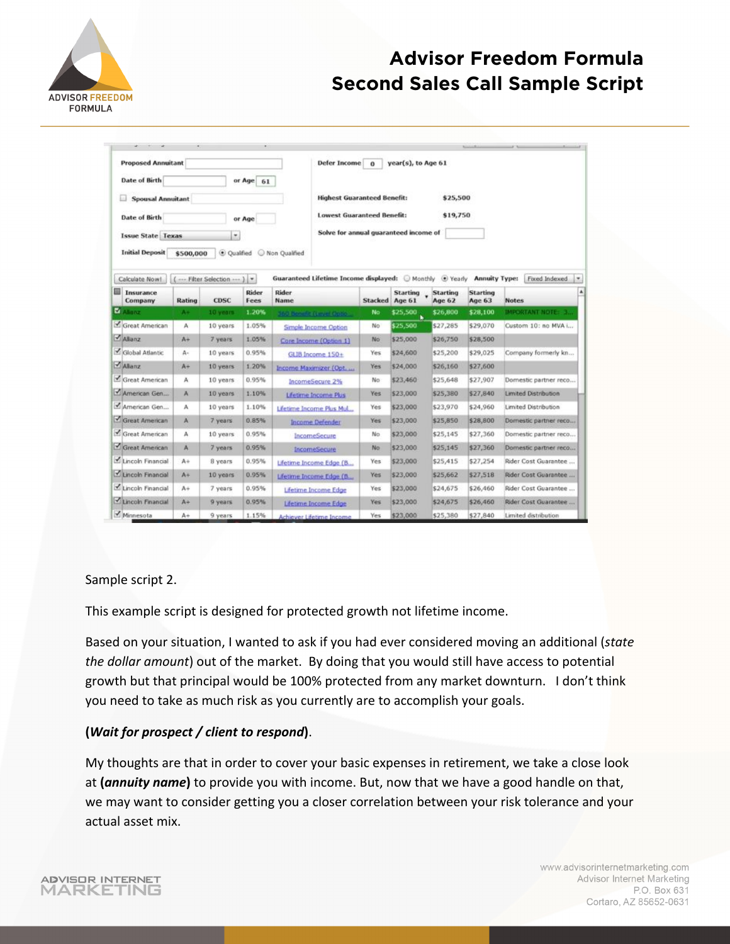

| <b>Proposed Annuitant</b>                              |           |                          |               |                           | <b>Defer Income</b>                                    | $\Omega$       | year(s), to Age 61 |                    |                           |                             |
|--------------------------------------------------------|-----------|--------------------------|---------------|---------------------------|--------------------------------------------------------|----------------|--------------------|--------------------|---------------------------|-----------------------------|
| <b>Date of Birth</b><br>or Age 61<br>Spousal Annuitant |           |                          |               |                           |                                                        |                |                    |                    |                           |                             |
|                                                        |           |                          |               |                           | <b>Highest Guaranteed Benefit:</b><br>\$25,500         |                |                    |                    |                           |                             |
|                                                        |           |                          |               |                           | <b>Lowest Guaranteed Benefit:</b><br>\$19,750          |                |                    |                    |                           |                             |
| <b>Date of Birth</b>                                   |           |                          | or Age        |                           |                                                        |                |                    |                    |                           |                             |
| <b>Issue State Texas</b>                               |           | ۰                        |               |                           | Solve for annual quaranteed income of                  |                |                    |                    |                           |                             |
| <b>Initial Deposit</b>                                 | \$500,000 | Oualfied                 |               | Non Qualified             |                                                        |                |                    |                    |                           |                             |
|                                                        |           |                          |               |                           |                                                        |                |                    |                    |                           |                             |
| Calculate Now!                                         |           | (  Filter Selection  ) v |               |                           | Guaranteed Lifetime Income displayed: Monthly @ Yearly |                |                    |                    | <b>Annuity Type:</b>      | Fixed Indexed               |
| 囩<br>Insurance<br>Company                              | Rating    | <b>CDSC</b>              | Rider<br>Fees | Rider<br><b>Name</b>      |                                                        | Stacked Age 61 | <b>Starting</b>    | Starting<br>Age 62 | <b>Starting</b><br>Age 63 | <b>Notes</b>                |
| <b>M</b> Alianz                                        | $A +$     | 10 years                 | 1.20%         | 160 bennis (Level Optio)  |                                                        | No             | \$25,500           | \$26,800           | \$28,100                  | <b>IMPORTANT NOTE: 3.</b>   |
| Great American                                         | A         | 10 years                 | 1.05%         | Simple Income Option      |                                                        | No             | \$25,500           | \$27,285           | \$29,070                  | Custom 10: no MVA i         |
| Alianz                                                 | $A +$     | 7 years                  | 1.05%         | Core Income (Option 1)    |                                                        | No.            | \$25,000           | \$26,750           | \$28,500                  |                             |
| Global Atlantic                                        | А-        | 10 years                 | 0.95%         | GLIB Income 150+          |                                                        | Yes            | \$24,600           | \$25,200           | \$29,025                  | Company formerly kn         |
| Ahanz                                                  | At        | 10 years                 | 1.20%         | Income Maximizer (Opt.    |                                                        | Yes            | \$24,000           | \$26,160           | \$27,600                  |                             |
| Great American                                         | A         | 10 years                 | 0.95%         | IncomeSecure 2%           |                                                        | No             | \$23,460           | \$25,648           | \$27,907                  | Domestic partner reco       |
| American Gen                                           | A         | 10 years                 | 1.10%         | Lifetime Income Plus      |                                                        | Yes            | \$23,000           | \$25,380           | \$27,840                  | <b>Limited Distribution</b> |
| American Gen                                           | А         | 10 years                 | 1.10%         | Lifetime Income Plus Mul  |                                                        | Yes            | \$23,000           | \$23,970           | \$24,960                  | Limited Distribution        |
| Great American                                         | A         | 7 years.                 | 0.85%         | <b>Income Defender</b>    |                                                        | Yes            | \$23,000           | \$25,850           | \$28,800                  | Domestic partner reco       |
| Great American                                         | А         | 10 years                 | 0.95%         | IncomeSecure              |                                                        | No.            | \$23,000           | \$25,145           | \$27,360                  | Domestic partner reco       |
| Great American                                         | A         | 7 years                  | 0.95%         | IncomeSecure              |                                                        | No-            | \$23,000           | \$25,145           | \$27,360                  | Domestic partner reco       |
| Lincoln Financial                                      | $A +$     | B years                  | 0.95%         | Lifetime Income Edge (B   |                                                        | Yes            | \$23,000           | \$25,415           | \$27,254                  | Rider Cost Guarantee        |
| Lincoln Financial                                      | $A +$     | 10 years                 | 0.95%         | Lifetime Income Edge (B., |                                                        | Yes            | \$23,000           | \$25,662           | \$27,518                  | Rider Cost Guarantee        |
| Lincoln Financial                                      | $A +$     | 7 years                  | 0.95%         | Lifetime Income Edge      |                                                        | Yes            | \$23,000           | \$24,675           | \$26,460                  | Rider Cost Guarantee        |
| Lincoln Financial                                      | $A +$     | 9 years                  | 0.95%         |                           | Lifetime Income Edge                                   | Yes            | \$23,000           | \$24,675           | \$26,460                  | Rider Cost Guarantee        |
| Minnesota                                              | $A+$      | 9 years                  | 1.15%         | Achiever Lifetime Income  |                                                        | Yes            | \$23,000           | \$25,380           | \$27,840                  | Limited distribution        |

#### Sample script 2.

This example script is designed for protected growth not lifetime income.

Based on your situation, I wanted to ask if you had ever considered moving an additional (*state the dollar amount*) out of the market. By doing that you would still have access to potential growth but that principal would be 100% protected from any market downturn. I don't think you need to take as much risk as you currently are to accomplish your goals.

#### **(***Wait for prospect / client to respond***)**.

My thoughts are that in order to cover your basic expenses in retirement, we take a close look at **(***annuity name***)** to provide you with income. But, now that we have a good handle on that, we may want to consider getting you a closer correlation between your risk tolerance and your actual asset mix.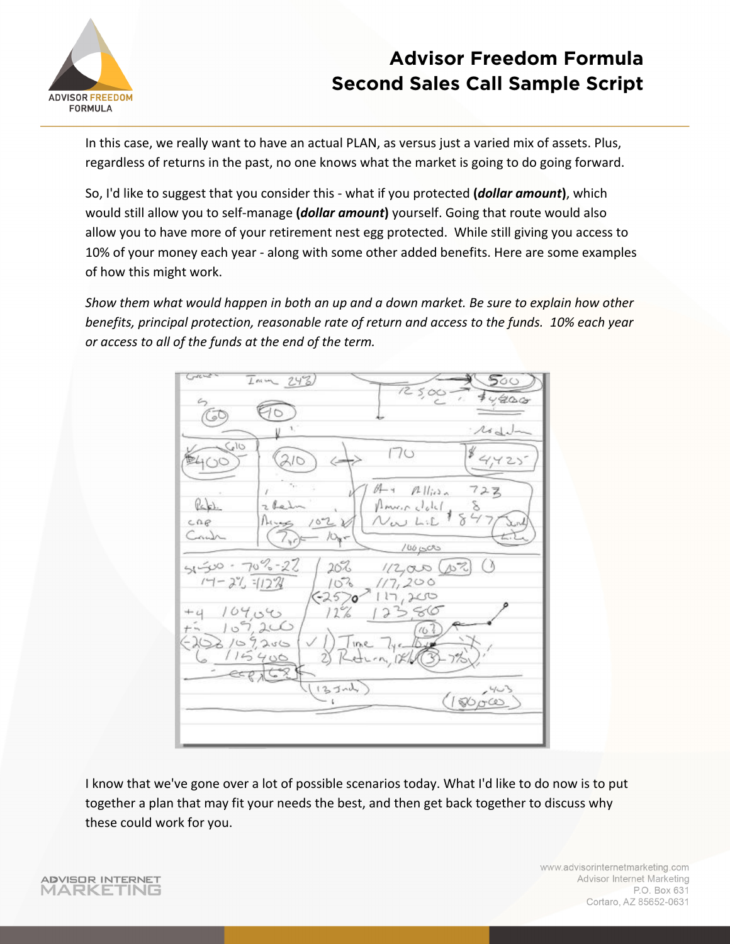

In this case, we really want to have an actual PLAN, as versus just a varied mix of assets. Plus, regardless of returns in the past, no one knows what the market is going to do going forward.

So, I'd like to suggest that you consider this - what if you protected **(***dollar amount***)**, which would still allow you to self-manage **(***dollar amount***)** yourself. Going that route would also allow you to have more of your retirement nest egg protected. While still giving you access to 10% of your money each year - along with some other added benefits. Here are some examples of how this might work.

*Show them what would happen in both an up and a down market. Be sure to explain how other benefits, principal protection, reasonable rate of return and access to the funds. 10% each year or access to all of the funds at the end of the term.* 



I know that we've gone over a lot of possible scenarios today. What I'd like to do now is to put together a plan that may fit your needs the best, and then get back together to discuss why these could work for you.

**ADVISOR INTERNET** MARKETING